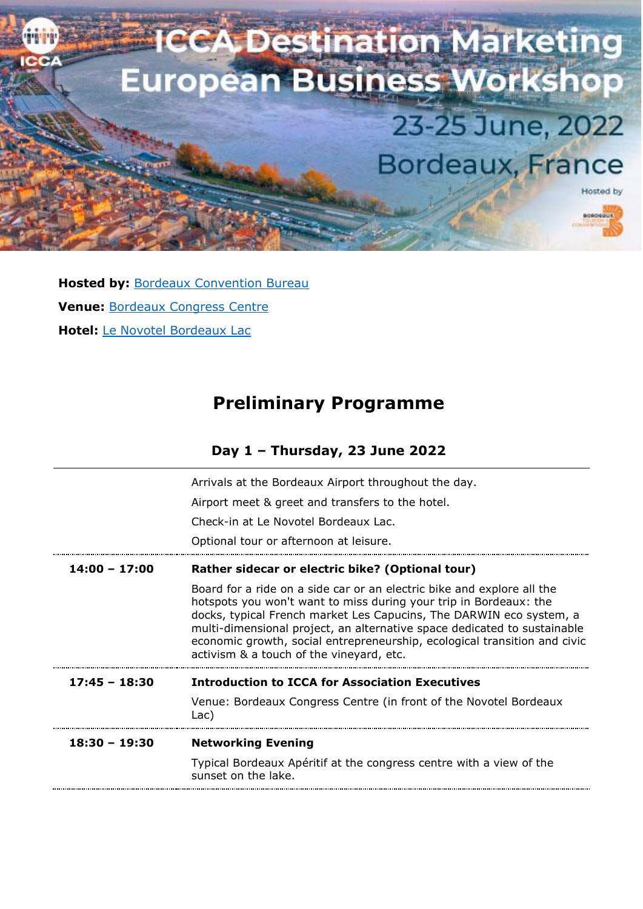

**Hosted by: [Bordeaux Convention Bureau](https://congress.bordeaux-tourism.co.uk/) Venue:** [Bordeaux Congress Centre](https://www.bordeaux-events.com/) **Hotel:** Le [Novotel Bordeaux Lac](https://all.accor.com/hotel/0403/index.en.shtml)

# **Preliminary Programme**

| Day 1 - Thursday, 23 June 2022 |  |  |  |
|--------------------------------|--|--|--|
|--------------------------------|--|--|--|

|                 | Arrivals at the Bordeaux Airport throughout the day.                                                                                                                                                                                                                                                                                                                                                                    |  |  |
|-----------------|-------------------------------------------------------------------------------------------------------------------------------------------------------------------------------------------------------------------------------------------------------------------------------------------------------------------------------------------------------------------------------------------------------------------------|--|--|
|                 | Airport meet & greet and transfers to the hotel.                                                                                                                                                                                                                                                                                                                                                                        |  |  |
|                 | Check-in at Le Novotel Bordeaux Lac.                                                                                                                                                                                                                                                                                                                                                                                    |  |  |
|                 | Optional tour or afternoon at leisure.                                                                                                                                                                                                                                                                                                                                                                                  |  |  |
| $14:00 - 17:00$ | Rather sidecar or electric bike? (Optional tour)                                                                                                                                                                                                                                                                                                                                                                        |  |  |
|                 | Board for a ride on a side car or an electric bike and explore all the<br>hotspots you won't want to miss during your trip in Bordeaux: the<br>docks, typical French market Les Capucins, The DARWIN eco system, a<br>multi-dimensional project, an alternative space dedicated to sustainable<br>economic growth, social entrepreneurship, ecological transition and civic<br>activism & a touch of the vineyard, etc. |  |  |
| $17:45 - 18:30$ | <b>Introduction to ICCA for Association Executives</b>                                                                                                                                                                                                                                                                                                                                                                  |  |  |
|                 | Venue: Bordeaux Congress Centre (in front of the Novotel Bordeaux<br>Lac)                                                                                                                                                                                                                                                                                                                                               |  |  |
| $18:30 - 19:30$ | <b>Networking Evening</b>                                                                                                                                                                                                                                                                                                                                                                                               |  |  |
|                 | Typical Bordeaux Apéritif at the congress centre with a view of the<br>sunset on the lake.                                                                                                                                                                                                                                                                                                                              |  |  |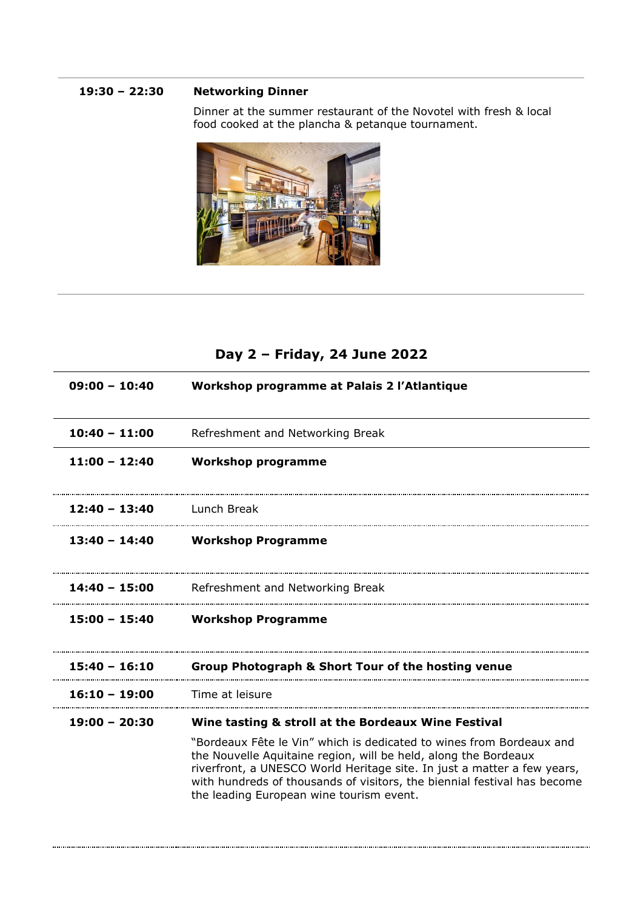#### **19:30 – 22:30 Networking Dinner**

Dinner at the summer restaurant of the Novotel with fresh & local food cooked at the plancha & petanque tournament.



## **Day 2 – Friday, 24 June 2022**

| $09:00 - 10:40$ | Workshop programme at Palais 2 l'Atlantique                                                                                                                                                                                                                                                                                                                                                       |
|-----------------|---------------------------------------------------------------------------------------------------------------------------------------------------------------------------------------------------------------------------------------------------------------------------------------------------------------------------------------------------------------------------------------------------|
| $10:40 - 11:00$ | Refreshment and Networking Break                                                                                                                                                                                                                                                                                                                                                                  |
| $11:00 - 12:40$ | <b>Workshop programme</b>                                                                                                                                                                                                                                                                                                                                                                         |
| $12:40 - 13:40$ | Lunch Break                                                                                                                                                                                                                                                                                                                                                                                       |
| $13:40 - 14:40$ | <b>Workshop Programme</b>                                                                                                                                                                                                                                                                                                                                                                         |
| $14:40 - 15:00$ | Refreshment and Networking Break                                                                                                                                                                                                                                                                                                                                                                  |
| $15:00 - 15:40$ | <b>Workshop Programme</b>                                                                                                                                                                                                                                                                                                                                                                         |
| $15:40 - 16:10$ | <b>Group Photograph &amp; Short Tour of the hosting venue</b>                                                                                                                                                                                                                                                                                                                                     |
| $16:10 - 19:00$ | Time at leisure                                                                                                                                                                                                                                                                                                                                                                                   |
| $19:00 - 20:30$ | Wine tasting & stroll at the Bordeaux Wine Festival<br>"Bordeaux Fête le Vin" which is dedicated to wines from Bordeaux and<br>the Nouvelle Aquitaine region, will be held, along the Bordeaux<br>riverfront, a UNESCO World Heritage site. In just a matter a few years,<br>with hundreds of thousands of visitors, the biennial festival has become<br>the leading European wine tourism event. |